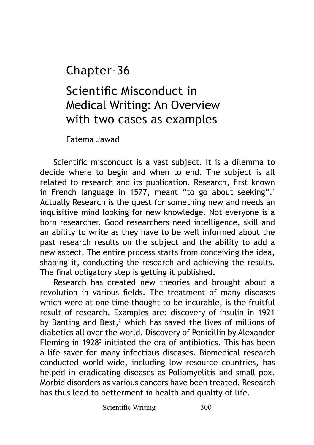# Scientific Misconduct in Medical Writing: An Overview with two cases as examples Chapter-36

Fatema Jawad

Scientific misconduct is a vast subject. It is a dilemma to decide where to begin and when to end. The subject is all related to research and its publication. Research, first known in French language in 1577, meant "to go about seeking".<sup>1</sup> Actually Research is the quest for something new and needs an inquisitive mind looking for new knowledge. Not everyone is a born researcher. Good researchers need intelligence, skill and an ability to write as they have to be well informed about the past research results on the subject and the ability to add a new aspect. The entire process starts from conceiving the idea, shaping it, conducting the research and achieving the results. The final obligatory step is getting it published.

Research has created new theories and brought about a revolution in various fields. The treatment of many diseases which were at one time thought to be incurable, is the fruitful result of research. Examples are: discovery of insulin in 1921 by Banting and Best, $^2$  which has saved the lives of millions of diabetics all over the world. Discovery of Penicillin by Alexander Fleming in 1928<sup>3</sup> initiated the era of antibiotics. This has been a life saver for many infectious diseases. Biomedical research conducted world wide, including low resource countries, has helped in eradicating diseases as Poliomyelitis and small pox. Morbid disorders as various cancers have been treated. Research has thus lead to betterment in health and quality of life.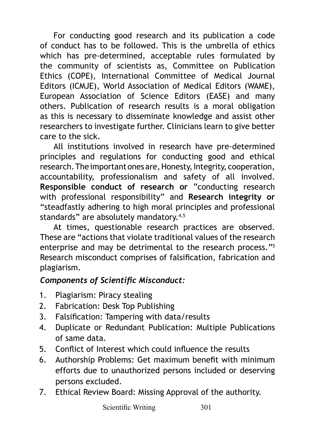For conducting good research and its publication a code of conduct has to be followed. This is the umbrella of ethics which has pre-determined, acceptable rules formulated by the community of scientists as, Committee on Publication Ethics (COPE), International Committee of Medical Journal Editors (ICMJE), World Association of Medical Editors (WAME), European Association of Science Editors (EASE) and many others. Publication of research results is a moral obligation as this is necessary to disseminate knowledge and assist other researchers to investigate further. Clinicians learn to give better care to the sick.

All institutions involved in research have pre-determined principles and regulations for conducting good and ethical research. The important ones are, Honesty, Integrity, cooperation, accountability, professionalism and safety of all involved. **Responsible conduct of research or** "conducting research with professional responsibility" and **Research integrity or** "steadfastly adhering to high moral principles and professional standards" are absolutely mandatory.<sup>4,5</sup>

At times, questionable research practices are observed. These are "actions that violate traditional values of the research enterprise and may be detrimental to the research process."5 Research misconduct comprises of falsification, fabrication and plagiarism.

# *Components of Scientific Misconduct:*

- 1. Plagiarism: Piracy stealing
- 2. Fabrication: Desk Top Publishing
- 3. Falsification: Tampering with data/results
- 4. Duplicate or Redundant Publication: Multiple Publications of same data.
- 5. Conflict of Interest which could influence the results
- 6. Authorship Problems: Get maximum benefit with minimum efforts due to unauthorized persons included or deserving persons excluded.
- 7. Ethical Review Board: Missing Approval of the authority.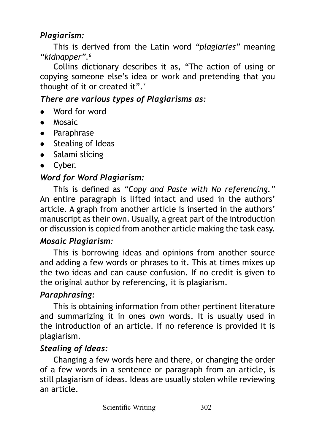# *Plagiarism:*

This is derived from the Latin word *"plagiaries"* meaning *"kidnapper".*<sup>6</sup>

Collins dictionary describes it as, "The action of using or copying someone else's idea or work and pretending that you thought of it or created it".7

# *There are various types of Plagiarisms as:*

- Word for word
- $\bullet$  Mosaic
- Paraphrase
- Stealing of Ideas
- $\bullet$  Salami slicing
- $\bullet$  Cyber.

# *Word for Word Plagiarism:*

This is defined as *"Copy and Paste with No referencing."*  An entire paragraph is lifted intact and used in the authors' article. A graph from another article is inserted in the authors' manuscript as their own. Usually, a great part of the introduction or discussion is copied from another article making the task easy.

# *Mosaic Plagiarism:*

This is borrowing ideas and opinions from another source and adding a few words or phrases to it. This at times mixes up the two ideas and can cause confusion. If no credit is given to the original author by referencing, it is plagiarism.

# *Paraphrasing:*

This is obtaining information from other pertinent literature and summarizing it in ones own words. It is usually used in the introduction of an article. If no reference is provided it is plagiarism.

# *Stealing of Ideas:*

Changing a few words here and there, or changing the order of a few words in a sentence or paragraph from an article, is still plagiarism of ideas. Ideas are usually stolen while reviewing an article.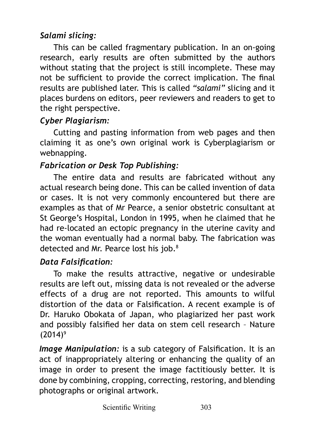# *Salami slicing:*

This can be called fragmentary publication. In an on-going research, early results are often submitted by the authors without stating that the project is still incomplete. These may not be sufficient to provide the correct implication. The final results are published later. This is called *"salami"* slicing and it places burdens on editors, peer reviewers and readers to get to the right perspective.

# *Cyber Plagiarism:*

Cutting and pasting information from web pages and then claiming it as one's own original work is Cyberplagiarism or webnapping.

# *Fabrication or Desk Top Publishing:*

The entire data and results are fabricated without any actual research being done. This can be called invention of data or cases. It is not very commonly encountered but there are examples as that of Mr Pearce, a senior obstetric consultant at St George's Hospital, London in 1995, when he claimed that he had re-located an ectopic pregnancy in the uterine cavity and the woman eventually had a normal baby. The fabrication was detected and Mr. Pearce lost his job.<sup>8</sup>

# *Data Falsification:*

To make the results attractive, negative or undesirable results are left out, missing data is not revealed or the adverse effects of a drug are not reported. This amounts to wilful distortion of the data or Falsification. A recent example is of Dr. Haruko Obokata of Japan, who plagiarized her past work and possibly falsified her data on stem cell research – Nature  $(2014)^9$ 

*Image Manipulation:* is a sub category of Falsification. It is an act of inappropriately altering or enhancing the quality of an image in order to present the image factitiously better. It is done by combining, cropping, correcting, restoring, and blending photographs or original artwork.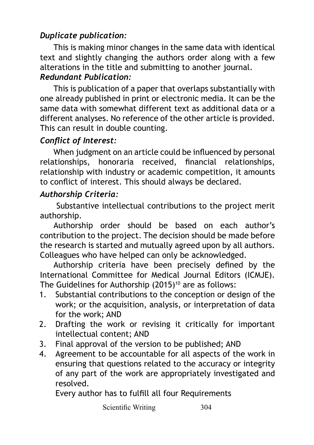# *Duplicate publication:*

This is making minor changes in the same data with identical text and slightly changing the authors order along with a few alterations in the title and submitting to another journal. *Redundant Publication:*

This is publication of a paper that overlaps substantially with one already published in print or electronic media. It can be the same data with somewhat different text as additional data or a different analyses. No reference of the other article is provided. This can result in double counting.

# *Conflict of Interest:*

When judgment on an article could be influenced by personal relationships, honoraria received, financial relationships, relationship with industry or academic competition, it amounts to conflict of interest. This should always be declared.

# *Authorship Criteria:*

 Substantive intellectual contributions to the project merit authorship.

Authorship order should be based on each author's contribution to the project. The decision should be made before the research is started and mutually agreed upon by all authors. Colleagues who have helped can only be acknowledged.

Authorship criteria have been precisely defined by the International Committee for Medical Journal Editors (ICMJE). The Guidelines for Authorship  $(2015)^{10}$  are as follows:

- 1. Substantial contributions to the conception or design of the work; or the acquisition, analysis, or interpretation of data for the work; AND
- 2. Drafting the work or revising it critically for important intellectual content; AND
- 3. Final approval of the version to be published; AND
- 4. Agreement to be accountable for all aspects of the work in ensuring that questions related to the accuracy or integrity of any part of the work are appropriately investigated and resolved.

Every author has to fulfill all four Requirements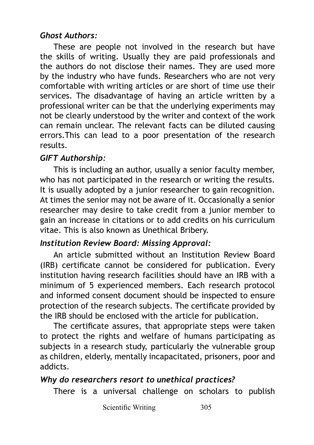# *Ghost Authors:*

These are people not involved in the research but have the skills of writing. Usually they are paid professionals and the authors do not disclose their names. They are used more by the industry who have funds. Researchers who are not very comfortable with writing articles or are short of time use their services. The disadvantage of having an article written by a professional writer can be that the underlying experiments may not be clearly understood by the writer and context of the work can remain unclear. The relevant facts can be diluted causing errors.This can lead to a poor presentation of the research results.

#### *GIFT Authorship:*

This is including an author, usually a senior faculty member, who has not participated in the research or writing the results. It is usually adopted by a junior researcher to gain recognition. At times the senior may not be aware of it. Occasionally a senior researcher may desire to take credit from a junior member to gain an increase in citations or to add credits on his curriculum vitae. This is also known as Unethical Bribery.

#### *Institution Review Board: Missing Approval:*

An article submitted without an Institution Review Board (IRB) certificate cannot be considered for publication. Every institution having research facilities should have an IRB with a minimum of 5 experienced members. Each research protocol and informed consent document should be inspected to ensure protection of the research subjects. The certificate provided by the IRB should be enclosed with the article for publication.

The certificate assures, that appropriate steps were taken to protect the rights and welfare of humans participating as subjects in a research study, particularly the vulnerable group as children, elderly, mentally incapacitated, prisoners, poor and addicts.

#### *Why do researchers resort to unethical practices?*

There is a universal challenge on scholars to publish

Scientific Writing 305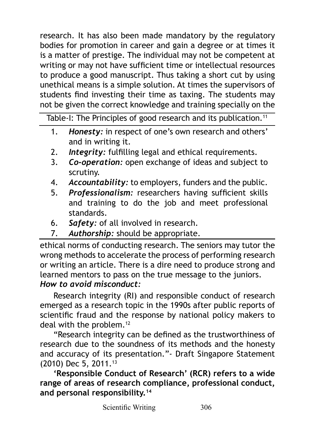research. It has also been made mandatory by the regulatory bodies for promotion in career and gain a degree or at times it is a matter of prestige. The individual may not be competent at writing or may not have sufficient time or intellectual resources to produce a good manuscript. Thus taking a short cut by using unethical means is a simple solution. At times the supervisors of students find investing their time as taxing. The students may not be given the correct knowledge and training specially on the

Table-I: The Principles of good research and its publication.<sup>11</sup>

- 1. *Honesty:* in respect of one's own research and others' and in writing it.
- 2. *Integrity:* fulfilling legal and ethical requirements.
- 3. *Co-operation:* open exchange of ideas and subject to scrutiny.
- 4. *Accountability:* to employers, funders and the public.
- 5. *Professionalism:* researchers having sufficient skills and training to do the job and meet professional standards.
- 6. *Safety:* of all involved in research.
- 7. *Authorship:* should be appropriate.

ethical norms of conducting research. The seniors may tutor the wrong methods to accelerate the process of performing research or writing an article. There is a dire need to produce strong and learned mentors to pass on the true message to the juniors. *How to avoid misconduct:*

Research integrity (RI) and responsible conduct of research emerged as a research topic in the 1990s after public reports of scientific fraud and the response by national policy makers to deal with the problem.12

"Research integrity can be defined as the trustworthiness of research due to the soundness of its methods and the honesty and accuracy of its presentation."- Draft Singapore Statement (2010) Dec 5, 2011.13

**'Responsible Conduct of Research' (RCR) refers to a wide range of areas of research compliance, professional conduct, and personal responsibility.14**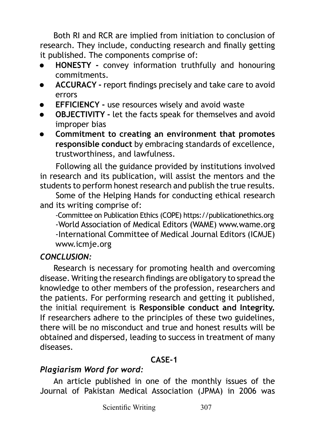Both RI and RCR are implied from initiation to conclusion of research. They include, conducting research and finally getting it published. The components comprise of:

- l **HONESTY -** convey information truthfully and honouring commitments.
- l **ACCURACY -** report findings precisely and take care to avoid errors
- **EFFICIENCY use resources wisely and avoid waste**
- **OBJECTIVITY -** let the facts speak for themselves and avoid improper bias
- l **Commitment to creating an environment that promotes responsible conduct** by embracing standards of excellence, trustworthiness, and lawfulness.

Following all the guidance provided by institutions involved in research and its publication, will assist the mentors and the students to perform honest research and publish the true results.

Some of the Helping Hands for conducting ethical research and its writing comprise of:

-Committee on Publication Ethics (COPE) https://publicationethics.org -World Association of Medical Editors (WAME) www.wame.org -International Committee of Medical Journal Editors (ICMJE) www.icmje.org

# *CONCLUSION:*

Research is necessary for promoting health and overcoming disease. Writing the research findings are obligatory to spread the knowledge to other members of the profession, researchers and the patients. For performing research and getting it published, the initial requirement is **Responsible conduct and Integrity.** If researchers adhere to the principles of these two guidelines, there will be no misconduct and true and honest results will be obtained and dispersed, leading to success in treatment of many diseases.

# **CASE-1**

#### *Plagiarism Word for word:*

An article published in one of the monthly issues of the Journal of Pakistan Medical Association (JPMA) in 2006 was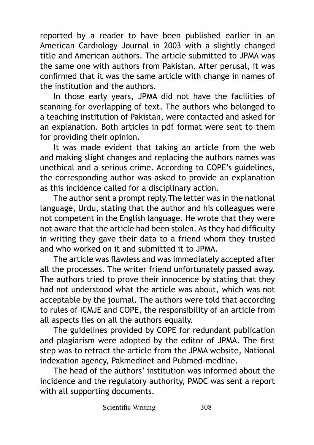reported by a reader to have been published earlier in an American Cardiology Journal in 2003 with a slightly changed title and American authors. The article submitted to JPMA was the same one with authors from Pakistan. After perusal, it was confirmed that it was the same article with change in names of the institution and the authors.

In those early years, JPMA did not have the facilities of scanning for overlapping of text. The authors who belonged to a teaching institution of Pakistan, were contacted and asked for an explanation. Both articles in pdf format were sent to them for providing their opinion.

It was made evident that taking an article from the web and making slight changes and replacing the authors names was unethical and a serious crime. According to COPE's guidelines, the corresponding author was asked to provide an explanation as this incidence called for a disciplinary action.

The author sent a prompt reply.The letter was in the national language, Urdu, stating that the author and his colleagues were not competent in the English language. He wrote that they were not aware that the article had been stolen. As they had difficulty in writing they gave their data to a friend whom they trusted and who worked on it and submitted it to JPMA.

The article was flawless and was immediately accepted after all the processes. The writer friend unfortunately passed away. The authors tried to prove their innocence by stating that they had not understood what the article was about, which was not acceptable by the journal. The authors were told that according to rules of ICMJE and COPE, the responsibility of an article from all aspects lies on all the authors equally.

The guidelines provided by COPE for redundant publication and plagiarism were adopted by the editor of JPMA. The first step was to retract the article from the JPMA website, National indexation agency, Pakmedinet and Pubmed-medline.

The head of the authors' institution was informed about the incidence and the regulatory authority, PMDC was sent a report with all supporting documents.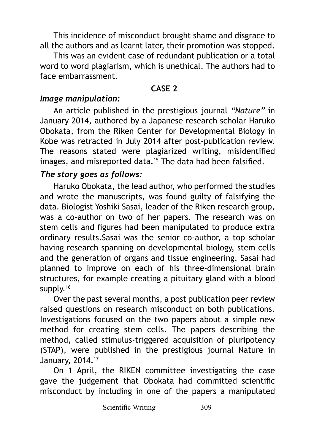This incidence of misconduct brought shame and disgrace to all the authors and as learnt later, their promotion was stopped.

This was an evident case of redundant publication or a total word to word plagiarism, which is unethical. The authors had to face embarrassment.

#### **CASE 2**

#### *Image manipulation:*

An article published in the prestigious journal *"Nature"* in January 2014, authored by a Japanese research scholar Haruko Obokata, from the Riken Center for Developmental Biology in Kobe was retracted in July 2014 after post-publication review. The reasons stated were plagiarized writing, misidentified images, and misreported data.<sup>15</sup> The data had been falsified.

# *The story goes as follows:*

Haruko Obokata, the lead author, who performed the studies and wrote the manuscripts, was found guilty of falsifying the data. Biologist Yoshiki Sasai, leader of the Riken research group, was a co-author on two of her papers. The research was on stem cells and figures had been manipulated to produce extra ordinary results.Sasai was the senior co-author, a top scholar having research spanning on developmental biology, stem cells and the generation of organs and tissue engineering. Sasai had planned to improve on each of his three-dimensional brain structures, for example creating a pituitary gland with a blood supply.<sup>16</sup>

Over the past several months, a post publication peer review raised questions on research misconduct on both publications. Investigations focused on the two papers about a simple new method for creating stem cells. The papers describing the method, called stimulus-triggered acquisition of pluripotency (STAP), were published in the prestigious journal Nature in January, 2014.17

On 1 April, the RIKEN committee investigating the case gave the judgement that Obokata had committed scientific misconduct by including in one of the papers a manipulated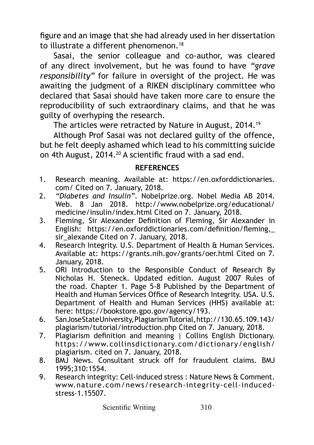figure and an image that she had already used in her dissertation to illustrate a different phenomenon.<sup>18</sup>

Sasai, the senior colleague and co-author, was cleared of any direct involvement, but he was found to have *"grave responsibility"* for failure in oversight of the project. He was awaiting the judgment of a RIKEN disciplinary committee who declared that Sasai should have taken more care to ensure the reproducibility of such extraordinary claims, and that he was guilty of overhyping the research.

The articles were retracted by Nature in August, 2014.<sup>19</sup>

Although Prof Sasai was not declared guilty of the offence, but he felt deeply ashamed which lead to his committing suicide on 4th August, 2014.20 A scientific fraud with a sad end.

#### **REFERENCES**

- 1. Research meaning. Available at: https://en.oxforddictionaries. com/ Cited on 7. January, 2018.
- 2. *"Diabetes and Insulin"*. Nobelprize.org. Nobel Media AB 2014. Web. 8 Jan 2018. http://www.nobelprize.org/educational/ medicine/insulin/index.html Cited on 7. January, 2018.
- 3. Fleming, Sir Alexander Definition of Fleming, Sir Alexander in English: https://en.oxforddictionaries.com/definition/fleming,\_ sir\_alexande Cited on 7. January, 2018.
- 4. Research Integrity. U.S. Department of Health & Human Services. Available at: https://grants.nih.gov/grants/oer.html Cited on 7. January, 2018.
- 5. ORI Introduction to the Responsible Conduct of Research By Nicholas H. Steneck. Updated edition. August 2007 Rules of the road. Chapter 1. Page 5-8 Published by the Department of Health and Human Services Office of Research Integrity. USA. U.S. Department of Health and Human Services (HHS) available at: here: https://bookstore.gpo.gov/agency/193.
- 6. San Jose State University, Plagiarism Tutorial, http://130.65.109.143/ plagiarism/tutorial/introduction.php Cited on 7. January, 2018.
- 7. Plagiarism definition and meaning | Collins English Dictionary. https://www.collinsdictionary.com/dictionary/english/ plagiarism. cited on 7. January, 2018.
- 8. BMJ News. Consultant struck off for fraudulent claims. BMJ 1995;310:1554.
- 9. Research integrity: Cell-induced stress : Nature News & Comment. www.nature.com/news/research-integrity-cell-inducedstress-1.15507.